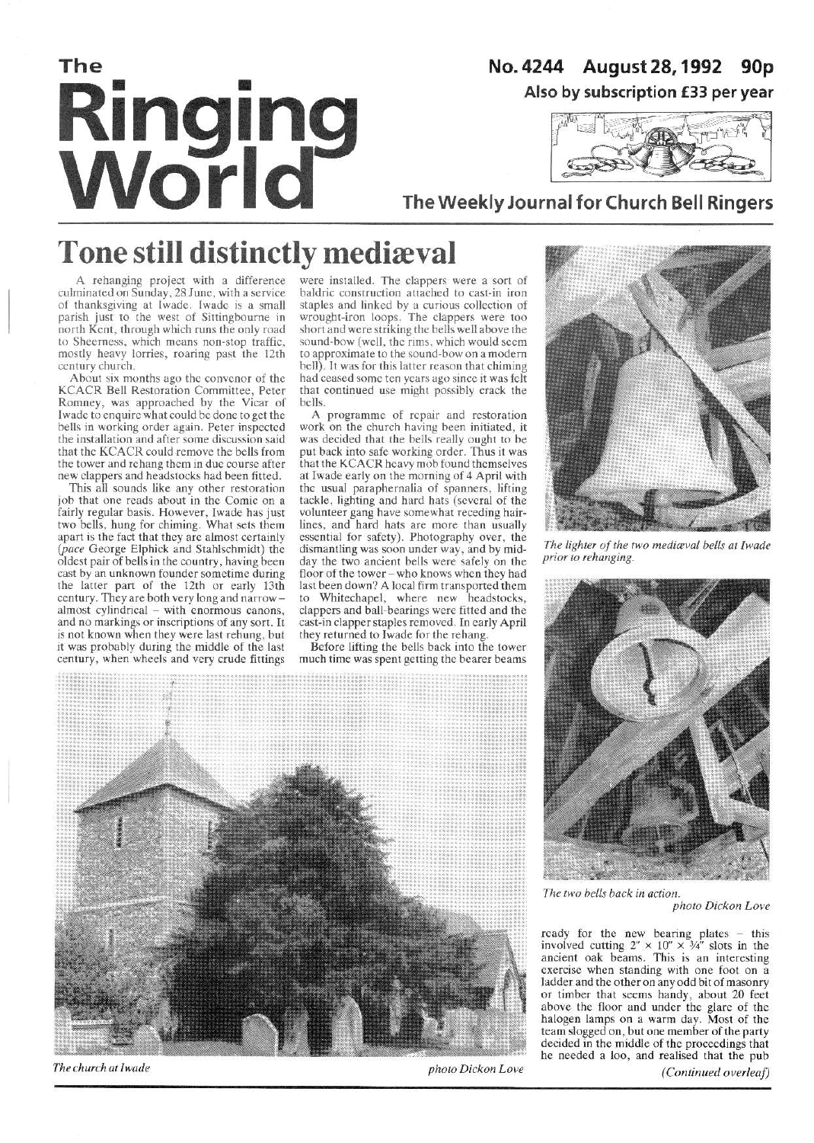# The **Ringing<br>World**

## No. 4244 August 28, 1992 90p Also by subscription £33 per year



# The Weekly Journal for Church Bell Ringers

# **Tone still distinctly mediæval**

A rehanging project with a difference culminated on Sunday, 28 June, with a service of thanksgiving at Iwade. Iwade is a small<br>parish just to the west of Sittingbourne in north Kent, through which runs the only road to Sheerness, which means non-stop traffic, mostly heavy lorries, roaring past the 12th century church.

About six months ago the convenor of the KCACR Bell Restoration Committee, Peter<br>Romney, was approached by the Vicar of Iwade to enquire what could be done to get the bells in working order again. Peter inspected the installation and after some discussion said that the KCACR could remove the bells from the tower and rehang them in due course after new clappers and headstocks had been fitted.

This all sounds like any other restoration job that one reads about in the Comic on a fairly regular basis. However, Iwade has just<br>two bells, hung for chiming. What sets them apart is the fact that they are almost certainly (pace George Elphick and Stahlschmidt) the oldest pair of bells in the country, having been cast by an unknown founder sometime during the latter part of the 12th or early 13th century. They are both very long and narrowalmost cylindrical – with enormous canons,<br>and no markings or inscriptions of any sort. It is not known when they were last rehung, but it was probably during the middle of the last century, when wheels and very crude fittings

were installed. The clappers were a sort of baldric construction attached to cast-in iron staples and linked by a curious collection of<br>wrought-iron loops. The clappers were too short and were striking the bells well above the sound-bow (well, the rims, which would seem to approximate to the sound-bow on a modern bell). It was for this latter reason that chiming had ceased some ten years ago since it was felt that continued use might possibly crack the bells.

A programme of repair and restoration work on the church having been initiated, it was decided that the bells really ought to be put back into safe working order. Thus it was<br>that the KCACR heavy mob found themselves at Iwade early on the morning of 4 April with the usual paraphernalia of spanners, lifting tackle, lighting and hard hats (several of the volunteer gang have somewhat receding hairlines, and hard hats are more than usually essential for safety). Photography over, the dismantling was soon under way, and by midday the two ancient bells were safely on the floor of the tower - who knows when they had last been down? A local firm transported them Whitechapel, where new headstocks, clappers and ball-bearings were fitted and the cast-in clapper staples removed. In early April they returned to Iwade for the rehang.

Before lifting the bells back into the tower much time was spent getting the bearer beams



The church at Iwade



The lighter of the two mediaval bells at Iwade prior to rehanging.



The two bells back in action.

photo Dickon Love

ready for the new bearing plates – this<br>involved cutting  $2'' \times 10'' \times 34''$  slots in the<br>ancient oak beams. This is an interesting exercise when standing with one foot on a ladder and the other on any odd bit of masonry or timber that seems handy, about 20 feet above the floor and under the glare of the halogen lamps on a warm day. Most of the team slogged on, but one member of the party decided in the middle of the proceedings that he needed a loo, and realised that the pub-

(Continued overleaf)

photo Dickon Love